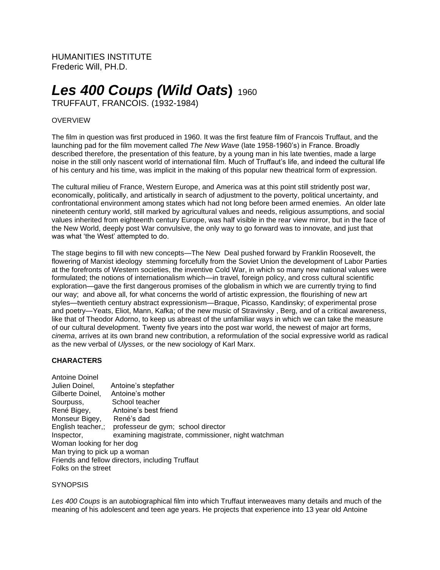HUMANITIES INSTITUTE Frederic Will, PH.D.

# *Les 400 Coups (Wild Oats***)** <sup>1960</sup>

TRUFFAUT, FRANCOIS. (1932-1984)

# OVERVIEW

The film in question was first produced in 1960. It was the first feature film of Francois Truffaut, and the launching pad for the film movement called *The New Wave* (late 1958-1960's) in France. Broadly described therefore, the presentation of this feature, by a young man in his late twenties, made a large noise in the still only nascent world of international film. Much of Truffaut's life, and indeed the cultural life of his century and his time, was implicit in the making of this popular new theatrical form of expression.

The cultural milieu of France, Western Europe, and America was at this point still stridently post war, economically, politically, and artistically in search of adjustment to the poverty, political uncertainty, and confrontational environment among states which had not long before been armed enemies. An older late nineteenth century world, still marked by agricultural values and needs, religious assumptions, and social values inherited from eighteenth century Europe, was half visible in the rear view mirror, but in the face of the New World, deeply post War convulsive, the only way to go forward was to innovate, and just that was what 'the West' attempted to do.

The stage begins to fill with new concepts—The New Deal pushed forward by Franklin Roosevelt, the flowering of Marxist ideology stemming forcefully from the Soviet Union the development of Labor Parties at the forefronts of Western societies, the inventive Cold War, in which so many new national values were formulated; the notions of internationalism which—in travel, foreign policy, and cross cultural scientific exploration—gave the first dangerous promises of the globalism in which we are currently trying to find our way; and above all, for what concerns the world of artistic expression, the flourishing of new art styles—twentieth century abstract expressionism—Braque, Picasso, Kandinsky; of experimental prose and poetry—Yeats, Eliot, Mann, Kafka; of the new music of Stravinsky , Berg, and of a critical awareness, like that of Theodor Adorno, to keep us abreast of the unfamiliar ways in which we can take the measure of our cultural development. Twenty five years into the post war world, the newest of major art forms, *cinema*, arrives at its own brand new contribution, a reformulation of the social expressive world as radical as the new verbal of *Ulysses,* or the new sociology of Karl Marx.

### **CHARACTERS**

| Antoine Doinel                                   |                                                      |
|--------------------------------------------------|------------------------------------------------------|
| Julien Doinel,                                   | Antoine's stepfather                                 |
| Gilberte Doinel,                                 | Antoine's mother                                     |
| Sourpuss,                                        | School teacher                                       |
| René Bigey,                                      | Antoine's best friend                                |
| Monseur Bigey,                                   | René's dad                                           |
|                                                  | English teacher,; professeur de gym; school director |
| Inspector,                                       | examining magistrate, commissioner, night watchman   |
| Woman looking for her dog                        |                                                      |
| Man trying to pick up a woman                    |                                                      |
| Friends and fellow directors, including Truffaut |                                                      |
| Folks on the street                              |                                                      |
|                                                  |                                                      |

#### **SYNOPSIS**

*Les 400 Coups* is an autobiographical film into which Truffaut interweaves many details and much of the meaning of his adolescent and teen age years. He projects that experience into 13 year old Antoine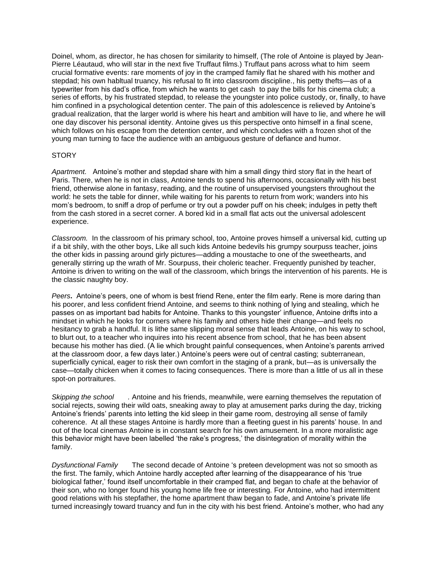Doinel, whom, as director, he has chosen for similarity to himself, (The role of Antoine is played by Jean-Pierre Léautaud, who will star in the next five Truffaut films.) Truffaut pans across what to him seem crucial formative events: rare moments of joy in the cramped family flat he shared with his mother and stepdad; his own habltual truancy, his refusal to fit into classroom discipline., his petty thefts—as of a typewriter from his dad's office, from which he wants to get cash to pay the bills for his cinema club; a series of efforts, by his frustrated stepdad, to release the youngster into police custody, or, finally, to have him confined in a psychological detention center. The pain of this adolescence is relieved by Antoine's gradual realization, that the larger world is where his heart and ambition will have to lie, and where he will one day discover his personal identity. Antoine gives us this perspective onto himself in a final scene, which follows on his escape from the detention center, and which concludes with a frozen shot of the young man turning to face the audience with an ambiguous gesture of defiance and humor.

# **STORY**

*Apartment.* Antoine's mother and stepdad share with him a small dingy third story flat in the heart of Paris. There, when he is not in class, Antoine tends to spend his afternoons, occasionally with his best friend, otherwise alone in fantasy, reading, and the routine of unsupervised youngsters throughout the world: he sets the table for dinner, while waiting for his parents to return from work; wanders into his mom's bedroom, to sniff a drop of perfume or try out a powder puff on his cheek; indulges in petty theft from the cash stored in a secret corner. A bored kid in a small flat acts out the universal adolescent experience.

*Classroom.* In the classroom of his primary school, too, Antoine proves himself a universal kid, cutting up if a bit shily, with the other boys, Like all such kids Antoine bedevils his grumpy sourpuss teacher, joins the other kids in passing around girly pictures—adding a moustache to one of the sweethearts, and generally stirring up the wrath of Mr. Sourpuss, their choleric teacher. Frequently punished by teacher, Antoine is driven to writing on the wall of the classroom, which brings the intervention of his parents. He is the classic naughty boy.

*Peers***.** Antoine's peers, one of whom is best friend Rene, enter the film early. Rene is more daring than his poorer, and less confident friend Antoine, and seems to think nothing of lying and stealing, which he passes on as important bad habits for Antoine. Thanks to this youngster' influence, Antoine drifts into a mindset in which he looks for corners where his family and others hide their change—and feels no hesitancy to grab a handful. It is lithe same slipping moral sense that leads Antoine, on his way to school, to blurt out, to a teacher who inquires into his recent absence from school, that he has been absent because his mother has died. (A lie which brought painful consequences, when Antoine's parents arrived at the classroom door, a few days later.) Antoine's peers were out of central casting; subterranean, superficially cynical, eager to risk their own comfort in the staging of a prank, but—as is universally the case—totally chicken when it comes to facing consequences. There is more than a little of us all in these spot-on portraitures.

*Skipping the school .* Antoine and his friends, meanwhile, were earning themselves the reputation of social rejects, sowing their wild oats, sneaking away to play at amusement parks during the day, tricking Antoine's friends' parents into letting the kid sleep in their game room, destroying all sense of family coherence. At all these stages Antoine is hardly more than a fleeting guest in his parents' house. In and out of the local cinemas Antoine is in constant search for his own amusement. In a more moralistic age this behavior might have been labelled 'the rake's progress,' the disintegration of morality within the family.

*Dysfunctional Family* The second decade of Antoine 's preteen development was not so smooth as the first. The family, which Antoine hardly accepted after learning of the disappearance of his 'true biological father,' found itself uncomfortable in their cramped flat, and began to chafe at the behavior of their son, who no longer found his young home life free or interesting. For Antoine, who had intermittent good relations with his stepfather, the home apartment thaw began to fade, and Antoine's private life turned increasingly toward truancy and fun in the city with his best friend. Antoine's mother, who had any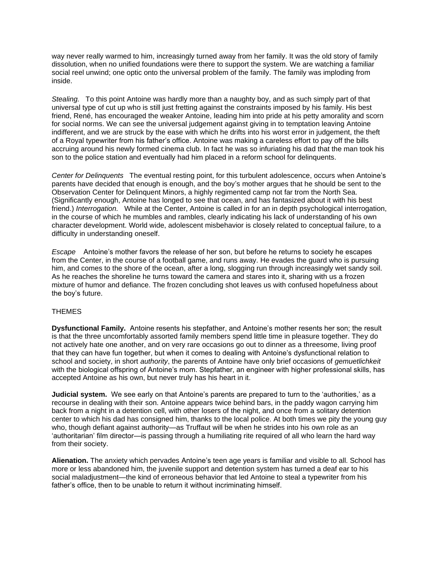way never really warmed to him, increasingly turned away from her family. It was the old story of family dissolution, when no unified foundations were there to support the system. We are watching a familiar social reel unwind; one optic onto the universal problem of the family. The family was imploding from inside.

*Stealing.* To this point Antoine was hardly more than a naughty boy, and as such simply part of that universal type of cut up who is still just fretting against the constraints imposed by his family. His best friend, René, has encouraged the weaker Antoine, leading him into pride at his petty amorality and scorn for social norms. We can see the universal judgement against giving in to temptation leaving Antoine indifferent, and we are struck by the ease with which he drifts into his worst error in judgement, the theft of a Royal typewriter from his father's office. Antoine was making a careless effort to pay off the bills accruing around his newly formed cinema club. In fact he was so infuriating his dad that the man took his son to the police station and eventually had him placed in a reform school for delinquents.

*Center for Delinquents* The eventual resting point, for this turbulent adolescence, occurs when Antoine's parents have decided that enough is enough, and the boy's mother argues that he should be sent to the Observation Center for Delinquent Minors, a highly regimented camp not far trom the North Sea. (Significantly enough, Antoine has longed to see that ocean, and has fantasized about it with his best friend.) *Interrogation.* While at the Center, Antoine is called in for an in depth psychological interrogation, in the course of which he mumbles and rambles, clearly indicating his lack of understanding of his own character development. World wide, adolescent misbehavior is closely related to conceptual failure, to a difficulty in understanding oneself.

*Escape* Antoine's mother favors the release of her son, but before he returns to society he escapes from the Center, in the course of a football game, and runs away. He evades the guard who is pursuing him, and comes to the shore of the ocean, after a long, slogging run through increasingly wet sandy soil. As he reaches the shoreline he turns toward the camera and stares into it, sharing with us a frozen mixture of humor and defiance. The frozen concluding shot leaves us with confused hopefulness about the boy's future.

### THEMES

**Dysfunctional Family.** Antoine resents his stepfather, and Antoine's mother resents her son; the result is that the three uncomfortably assorted family members spend little time in pleasure together. They do not actively hate one another, and on very rare occasions go out to dinner as a threesome, living proof that they can have fun together, but when it comes to dealing with Antoine's dysfunctional relation to school and society, in short *authority*, the parents of Antoine have only brief occasions of *gemuetlichkeit* with the biological offspring of Antoine's mom. Stepfather, an engineer with higher professional skills, has accepted Antoine as his own, but never truly has his heart in it.

**Judicial system.** We see early on that Antoine's parents are prepared to turn to the 'authorities,' as a recourse in dealing with their son. Antoine appears twice behind bars, in the paddy wagon carrying him back from a night in a detention cell, with other losers of the night, and once from a solitary detention center to which his dad has consigned him, thanks to the local police. At both times we pity the young guy who, though defiant against authority—as Truffaut will be when he strides into his own role as an 'authoritarian' film director—is passing through a humiliating rite required of all who learn the hard way from their society.

**Alienation.** The anxiety which pervades Antoine's teen age years is familiar and visible to all. School has more or less abandoned him, the juvenile support and detention system has turned a deaf ear to his social maladjustment—the kind of erroneous behavior that led Antoine to steal a typewriter from his father's office, then to be unable to return it without incriminating himself.